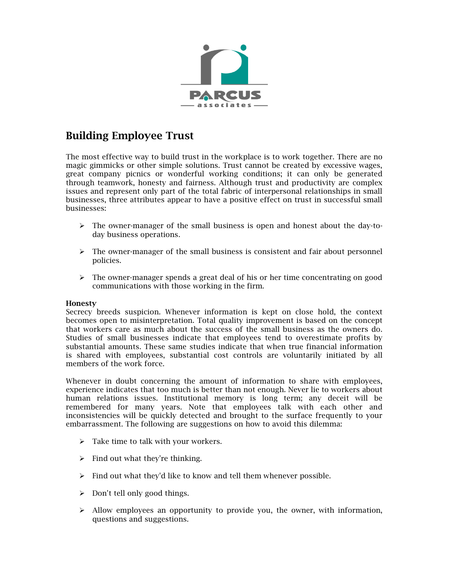

## Building Employee Trust

The most effective way to build trust in the workplace is to work together. There are no magic gimmicks or other simple solutions. Trust cannot be created by excessive wages, great company picnics or wonderful working conditions; it can only be generated through teamwork, honesty and fairness. Although trust and productivity are complex issues and represent only part of the total fabric of interpersonal relationships in small businesses, three attributes appear to have a positive effect on trust in successful small businesses:

- $\triangleright$  The owner-manager of the small business is open and honest about the day-today business operations.
- $\triangleright$  The owner-manager of the small business is consistent and fair about personnel policies.
- The owner-manager spends a great deal of his or her time concentrating on good communications with those working in the firm.

## Honesty

Secrecy breeds suspicion. Whenever information is kept on close hold, the context becomes open to misinterpretation. Total quality improvement is based on the concept that workers care as much about the success of the small business as the owners do. Studies of small businesses indicate that employees tend to overestimate profits by substantial amounts. These same studies indicate that when true financial information is shared with employees, substantial cost controls are voluntarily initiated by all members of the work force.

Whenever in doubt concerning the amount of information to share with employees, experience indicates that too much is better than not enough. Never lie to workers about human relations issues. Institutional memory is long term; any deceit will be remembered for many years. Note that employees talk with each other and inconsistencies will be quickly detected and brought to the surface frequently to your embarrassment. The following are suggestions on how to avoid this dilemma:

- $\triangleright$  Take time to talk with your workers.
- $\triangleright$  Find out what they're thinking.
- $\triangleright$  Find out what they'd like to know and tell them whenever possible.
- $\triangleright$  Don't tell only good things.
- $\triangleright$  Allow employees an opportunity to provide you, the owner, with information, questions and suggestions.